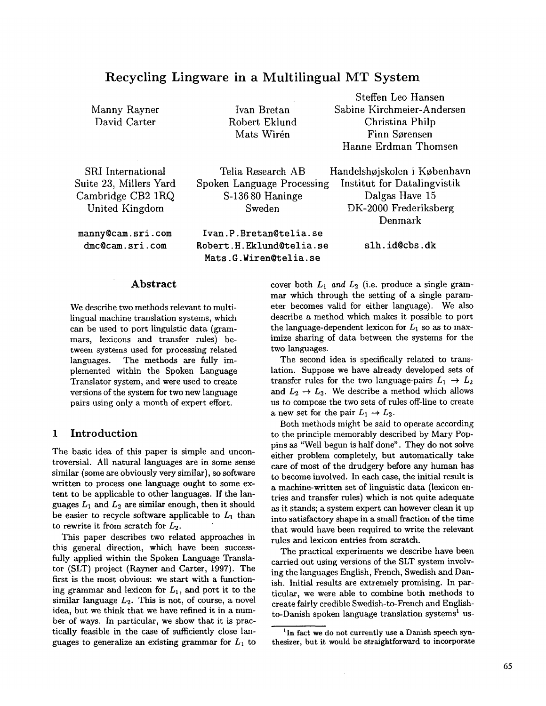# **Recycling Lingware in a Multilingual MT System**

Manny Rayner David Carter

**Ivan Bretan Robert Eklund Mats Wirén** 

**Steffen Leo Hansen Sabine Kirchmeier-Andersen Christina Philp Finn Sorensen Hanne Erdman Thomsen** 

Handelshøjskolen i København Institut for Datalingvistik Dalgas Have 15 DK-2000 Frederiksberg

SRI International Suite 23, Millers Yard Cambridge CB2 1RQ United Kingdom

manny@cam.sri.com dmc@cam.sri.com

Telia Research AB Spoken Language Processing S-136 80 Haninge Sweden

Ivan.P.Bretan@telia.se Robert.H.Eklund@telia.se Mats.G.Wiren@telia.se

> cover both  $L_1$  and  $L_2$  (i.e. produce a single grammar which through the setting of a single parameter becomes valid for either language). We also describe a method which makes it possible to port the language-dependent lexicon for  $L_1$  so as to maximize sharing of data between the systems for the

> two languages. The second idea is specifically related to translation. Suppose we have already developed sets of transfer rules for the two language-pairs  $L_1 \rightarrow L_2$ and  $L_2 \rightarrow L_3$ . We describe a method which allows us to compose the two sets of rules off-line to create a new set for the pair  $L_1 \rightarrow L_3$ .

> Both methods might be said to operate according to the principle memorably described by Mary Poppins as "Well begun is half done". They do not solve either problem completely, but automatically take care of most of the drudgery before any human has to become involved. In each case, the initial result is a machine-written set of linguistic data (lexicon entries and transfer rules) which is not quite adequate as it stands; a system expert can however clean it up into satisfactory shape in a small fraction of the time that would have been required to write the relevant rules and lexicon entries from scratch.

> The practical experiments we describe have been carried out using versions of the SLT system involving the languages English, French, Swedish and Danish. Initial results are extremely promising. In particular, we were able to combine both methods to create fairly credible Swedish-to-French and Englishto-Danish spoken language translation systems<sup>1</sup> us-

## **Abstract**

We describe two methods relevant to multilingual machine translation systems, which can be used to port linguistic data (grammars, lexicons and transfer rules) between systems used for processing related languages. The methods are fully implemented within the Spoken Language Translator system, and were used to create versions of the system for two new language pairs using only a month of expert effort.

## **1 Introduction**

The basic idea of this paper is simple and uncontroversial. All natural languages are in some sense similar (some are obviously very similar), so software written to process one language ought to some extent to be applicable to other languages. If the languages  $L_1$  and  $L_2$  are similar enough, then it should be easier to recycle software applicable to  $L_1$  than to rewrite it from scratch for  $L_2$ .

This paper describes two related approaches in this general direction, which have been successfully applied within the Spoken Language Translator (SLT) project (Rayner and Carter, 1997). The first is the most obvious: we start with a functioning grammar and lexicon for  $L_1$ , and port it to the similar language  $L_2$ . This is not, of course, a novel idea, but we think that we have refined it in a number of ways. In particular, we show that it is practically feasible in the case of sufficiently close languages to generalize an existing grammar for  $L_1$  to

Denmark slh.id@cbs.dk

<sup>&</sup>lt;sup>1</sup>In fact we do not currently use a Danish speech synthesizer, but it would be straightforward to incorporate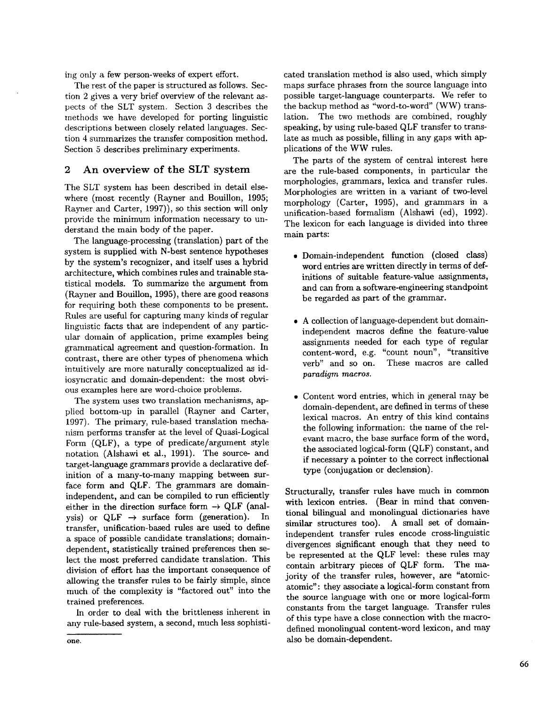ing only a few person-weeks of expert effort.

The rest of the paper is structured as follows. Section 2 gives a very brief overview of the relevant aspeers of the SLT system. Section 3 describes the methods we have developed for porting linguistic descriptions between closely related languages. Section 4 summarizes the transfer composition method. Section 5 describes preliminary experiments.

## 2 An overview of the SLT system

The SLT system has been described in detail elsewhere (most recently (Rayner and Bouillon, 1995; Rayner and Carter, 1997)), so this section will only provide the minimum information necessary to understand the main body of the paper.

The language-processing (translation) part of the system is supplied with N-best sentence hypotheses by the system's recognizer, and itself uses a hybrid architecture, which combines rules and trainable statistical models. To summarize the argument from (Rayner and Bouillon, 1995), there are good reasons for requiring both these components to be present. Rules are useful for capturing many kinds of regular linguistic facts that are independent of any particular domain of application, prime examples being grammatical agreement and question-formation. In contrast, there are other types of phenomena which intuitively are more naturally conceptualized as idiosyncratic and domain-dependent: the most obvious examples here are word-choice problems.

The system uses two translation mechanisms, applied bottom-up in parallel (Rayner and Carter, 1997). The primary, rule-based translation mechanism performs transfer at the level of Quasi-Logical Form (QLF), a type of predicate/argument style notation (Alshawi et al., 1991). The source- and target-language grammars provide a declarative definition of a many-to-many mapping between surface form and QLF. The grammars are domainindependent, and can be compiled to run efficiently either in the direction surface form  $\rightarrow$  QLF (analysis) or  $QLF \rightarrow$  surface form (generation). In transfer, unification-based rules are used to define a space of possible candidate translations; domaindependent, statistically trained preferences then select the most preferred candidate translation. This division of effort has the important consequence of allowing the transfer rules to be fairly simple, since much of the complexity is "factored out" into the trained preferences.

In order to deal with the brittleness inherent in any rule-based system, a second, much less sophisti-

The parts of the system of central interest here are the rule-based components, in particular the morphologies, grammars, lexica and transfer rules. Morphologies are written in a variant of two-level morphology (Carter, 1995), and grammars in a unification-based formalism (Alshawi (ed), 1992). The lexicon for each language is divided into three main parts:

- Domain-independent function (closed class) word entries are written directly in terms of definitions of suitable feature-value assignments, and can from a software-engineering standpoint be regarded as part of the grammar.
- A collection of language-dependent but domainindependent macros define the feature-value assignments needed for each type of regular content-word, e.g. "count noun", "transitive verb" and so on. These macros are called *paradigm macros.*
- Content word entries, which in general may be domain-dependent, are defined in terms of these lexical macros. An entry of this kind contains the following information: the name of the relevant macro, the base surface form of the word, the associated logical-form (QLF) constant, and if necessary a pointer to the correct inflectional type (conjugation or declension).

Structurally, transfer rules have much in common with lexicon entries. (Bear in mind that conventional bilingual and monolingual dictionaries have similar structures too). A small set of domainindependent transfer rules encode cross-linguistic divergences significant enough that they need to be represented at the QLF level: these rules may contain arbitrary pieces of QLF form. The majority of the transfer rules, however, are "atomicatomic": they associate a logical-form constant from the source language with one or more logical-form constants from the target language. Transfer rules of this type have a close connection with the macrodefined monolingual content-word lexicon, and may also be domain-dependent.

cated translation method is also used, which simply maps surface phrases from the source language into possible target-language counterparts. We refer to the backup method as "word-to-word" (WW) translation. The two methods are combined, roughly speaking, by using rule-based QLF transfer to translate as much as possible, filling in any gaps with applications of the WW rules.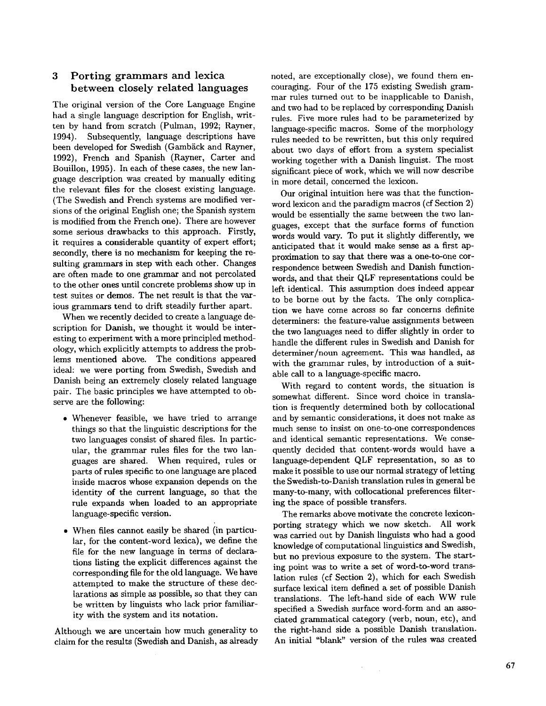## 3 Porting grammars and lexica between closely related languages

The original version of the Core Language Engine had a single language description for English, written by hand from scratch (Pulman, 1992; Rayner, 1994). Subsequently, language descriptions have been developed for Swedish (Gambäck and Rayner, 1992), French and Spanish (Rayner, Carter and Bouillon, 1995). In each of these cases, the new language description was created by manually editing the relevant files for the closest existing language. (The Swedish and French systems are modified versions of the original English one; the Spanish system is modified from the French one). There are however some serious drawbacks to this approach. Firstly, it requires a considerable quantity of expert effort; secondly, there is no mechanism for keeping the resuiting grammars in step with each other. Changes are often made to one grammar and not percolated to the other ones until concrete problems show up in test suites or demos. The net result is that the various grammars tend to drift steadily further apart.

When we recently decided to create a language description for Danish, we thought it would be interesting to experiment with a more principled methodology, which explicitly attempts to address the problems mentioned above. The conditions appeared ideal: we were porting from Swedish, Swedish and Danish being an extremely closely related language pair. The basic principles we have attempted to observe are the following:

- Whenever feasible, we have tried to arrange things so that the linguistic descriptions for the two languages consist of shared files. In particular, the grammar rules files for the two languages are shared. When required, rules or parts of rules specific to one language are placed inside macros whose expansion depends on the identity of the current language, so that the rule expands when loaded to an appropriate language-specific version.
- When files cannot easily be shared (in particular, for the content-word lexica), we define the file for the new language in terms of declarations listing the explicit differences against the corresponding file for the old language. We have attempted to make the structure of these declarations as simple as possible, so that they can be written by linguists who lack prior familiarity with the system and its notation.

Although we are uncertain how much generality to claim for the results (Swedish and Danish, as already noted, are exceptionally close), we found them encouraging. Four of the 175 existing Swedish grammar rules turned out to be inapplicable to Danish, and two had to be replaced by corresponding Danish rules. Five more rules had to be parameterized by language-specific macros. Some of the morphology rules needed to be rewritten, but this only required about two days of effort from a system specialist working together with a Danish linguist. The most significant piece of work, which we will now describe in more detail, concerned the lexicon.

Our original intuition here was that the functionword lexicon and the paradigm macros (cf Section 2) would be essentially the same between the two languages, except that the surface forms of function words would vary. To put it slightly differently, we anticipated that it would make sense as a first approximation to say that there was a one-to-one correspondence between Swedish and Danish functionwords, and that their QLF representations could be left identical. This assumption does indeed appear to be borne out by the facts. The only complication we have come across so far concerns definite determiners: the feature-value assignments between the two languages need to differ slightly in order to handle the different rules in Swedish and Danish for determiner/noun agreement. This was handled, as with the grammar rules, by introduction of a suitable call to a language-specific macro.

With regard to content words, the situation is somewhat different. Since word choice in translation is frequently determined both by collocational and by semantic considerations, it does not make as much sense to insist on one-to-one correspondences and identical semantic representations. We consequently decided that content-words would have a language-dependent QLF representation, so as to make it possible to use our normal strategy of letting the Swedish-to-Danish translation rules in general be many-to-many, with collocational preferences filtering the space of possible transfers.

The remarks above motivate the concrete lexiconporting strategy which we now sketch. All work was carried out by Danish linguists who had a good knowledge of computational linguistics and Swedish, but no previous exposure to the system. The starting point was to write a set of word-to-word translation rules (cf Section 2), which for each Swedish surface lexical item defined a set of possible Danish translations. The left-hand side of each WW rule specified a Swedish surface word-form and an associated grammatical category (verb, noun, etc), and the right-hand side a possible Danish translation. An initial "blank" version of the rules was created

> $\bar{z}$  $\mathcal{L}_{\mathcal{A}}$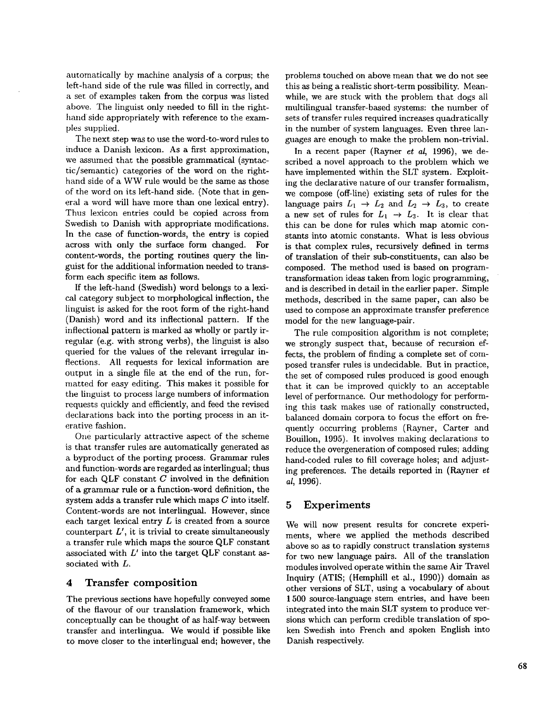automatically by machine analysis of a corpus; the left-hand side of the rule was filled in correctly, and a set of examples taken from the corpus was listed above. The linguist only needed to fill in the righthand side appropriately with reference to the examples supplied.

The next step was to use the word-to-word rules to induce a Danish lexicon. As a first approximation, we assumed that the possible grammatical (syntactic/semantic) categories of the word on the righthand side of a WW rule would be the same as those of the word on its left-hand side. (Note that in general a word will have more than one lexical entry). Thus lexicon entries could be copied across from Swedish to Danish with appropriate modifications. In the case of function-words, the entry is copied across with only the surface form changed. For content-words, the porting routines query the linguist for the additional information needed to transform each specific item as follows.

If the left-hand (Swedish) word belongs to a lexical category subject to morphological inflection, the linguist is asked for the root form of the right-hand (Danish) word and its inflectional pattern. If the inflectional pattern is marked as wholly or partly irregular (e.g. with strong verbs), the linguist is also queried for the values of the relevant irregular inflections. All requests for lexical information are output in a single file at the end of the run, formatted for easy editing. This makes it possible for the linguist to process large numbers of information requests quickly and efficiently, and feed the revised declarations back into the porting process in an iterative fashion.

One particularly attractive aspect of the scheme is that transfer rules are automatically generated as a byproduct of the porting process. Grammar rules and function-words are regarded as interlingual; thus for each QLF constant  $C$  involved in the definition of a grammar rule or a function-word definition, the system adds a transfer rule which maps  $C$  into itself. Content-words are not interlingual. However, since each target lexical entry  $L$  is created from a source counterpart  $L'$ , it is trivial to create simultaneously a transfer rule which maps the source QLF constant associated with  $L'$  into the target QLF constant associated with L.

## **4 Transfer composition**

The previous sections have hopefully conveyed some of the flavour of our translation framework, which conceptually can be thought of as half-way between transfer and interlingua. We would if possible like to move closer to the interlingual end; however, the

problems touched on above mean that we do not see this as being a realistic short-term possibility. Meanwhile, we are stuck with the problem that dogs all multilingual transfer-based systems: the number of sets of transfer rules required increases quadratically in the number of system languages. Even three languages are enough to make the problem non-trivial.

In a recent paper (Rayner *et al,* 1996), we described a novel approach to the problem which we have implemented within the SLT system. Exploiting the declarative nature of our transfer formalism, we compose (off-line) existing sets of rules for the language pairs  $L_1 \rightarrow L_2$  and  $L_2 \rightarrow L_3$ , to create a new set of rules for  $L_1 \rightarrow L_3$ . It is clear that this can be done for rules which map atomic constants into atomic constants. What is less obvious is that complex rules, recursively defined in terms of translation of their sub-constituents, can also be composed. The method used is based on programtransformation ideas taken from logic programming, and is described in detail in the earlier paper. Simple methods, described in the same paper, can also be used to compose an approximate transfer preference model for the new language-pair.

The rule composition algorithm is not complete; we strongly suspect that, because of recursion effects, the problem of finding a complete set of composed transfer rules is undecidable. But in practice, the set of composed rules produced is good enough that it can be improved quickly to an acceptable level of performance. Our methodology for performing this task makes use of rationally constructed, balanced domain corpora to focus the effort on frequently occurring problems (Rayner, Carter and Bouillon, 1995). It involves making declarations to reduce the overgeneration of composed rules; adding hand-coded rules to fill coverage holes; and adjusting preferences. The details reported in (Rayner *et al,* 1996).

## **5 Experiments**

We will now present results for concrete experiments, where we applied the methods described above so as to rapidly construct translation systems for two new language pairs. All of the translation modules involved operate within the same Air Travel Inquiry (ATIS; (Hemphill et ai., 1990)) domain as other versions of SLT, using a vocabulary of about 1 500 source-language stem entries, and have been integrated into the main SLT system to produce versions which can perform credible translation of spoken Swedish into French and spoken English into Danish respectively.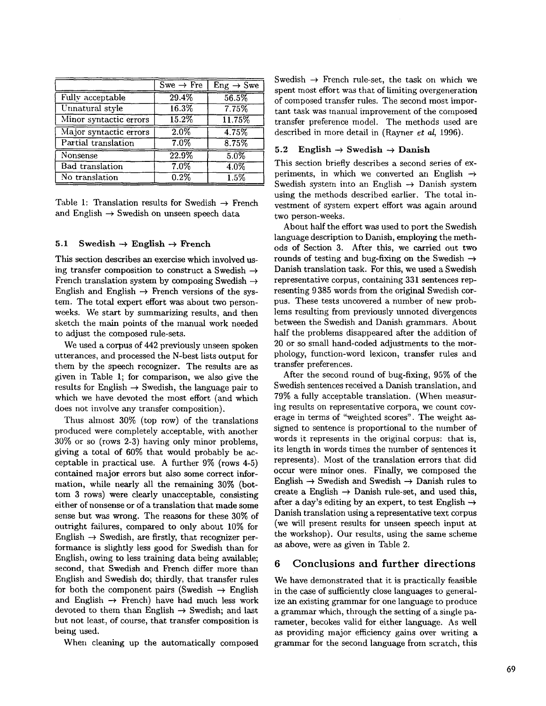|                        | $\overline{\text{Swe}} \to \text{Fre}$ | $Eng \rightarrow Swe$ |
|------------------------|----------------------------------------|-----------------------|
| Fully acceptable       | 29.4%                                  | 56.5%                 |
| Unnatural style        | 16.3%                                  | 7.75%                 |
| Minor syntactic errors | $\overline{15.2\%}$                    | 11.75%                |
| Major syntactic errors | 2.0%                                   | 4.75%                 |
| Partial translation    | $7.0\%$                                | 8.75%                 |
| Nonsense               | 22.9%                                  | 5.0%                  |
| <b>Bad</b> translation | $7.0\%$                                | 4.0%                  |
| No translation         | $\overline{0.2\%}$                     | 1.5%                  |

Table 1: Translation results for Swedish  $\rightarrow$  French and English  $\rightarrow$  Swedish on unseen speech data

#### **5.1** Swedish  $\rightarrow$  **English**  $\rightarrow$  **French**

This section describes an exercise which involved using transfer composition to construct a Swedish  $\rightarrow$ French translation system by composing Swedish  $\rightarrow$ English and English  $\rightarrow$  French versions of the system. The total expert effort was about two personweeks. We start by summarizing results, and then sketch the main points of the manual work needed to adjust the composed rule-sets.

We used a corpus of 442 previously unseen spoken utterances, and processed the N-best lists output for them by the speech recognizer. The results are as given in Table 1; for comparison, we also give the results for English  $\rightarrow$  Swedish, the language pair to which we have devoted the most effort (and which does not involve any transfer composition).

Thus almost 30% (top row) of the translations produced were completely acceptable, with another 30% or so (rows 2-3) having only minor problems, giving a total of 60% that would probably be acceptable in practical use. A further 9% (rows 4-5) contained major errors but also some correct information, while nearly all the remaining 30% (bottom 3 rows) were clearly unacceptable, consisting either of nonsense or of a translation that made some sense but was wrong. The reasons for these 30% of outright failures, compared to only about 10% for English  $\rightarrow$  Swedish, are firstly, that recognizer performance is slightly less good for Swedish than for English, owing to less training data being available; second, that Swedish and French differ more than English and Swedish do; thirdly, that transfer rules for both the component pairs (Swedish  $\rightarrow$  English and English  $\rightarrow$  French) have had much less work devoted to them than English  $\rightarrow$  Swedish; and last but not least, of course, that transfer composition is being used.

When cleaning up the automatically composed

Swedish  $\rightarrow$  French rule-set, the task on which we spent most effort was that of limiting overgeneration of composed transfer rules. The second most impor~ tant task was manual improvement of the Composed transfer preference model. The methods used are described in more detail in (Rayner *et al,* 1996).

#### 5.2 English  $\rightarrow$  Swedish  $\rightarrow$  Danish

This section briefly describes a second series of experiments, in which we converted an English  $\rightarrow$ Swedish system into an English  $\rightarrow$  Danish system using the methods described earlier. The total investment of system expert effort was again around two person-weeks.

About half the effort was used to port the Swedish language description to Danish, employing the methods of Section 3. After this, we carried out two rounds of testing and bug-fixing on the Swedish  $\rightarrow$ Danish translation task. For this, we used a Swedish representative corpus, containing 331 sentences representing 9 385 words from the original Swedish corpus. These tests uncovered a number of new problems resulting from previously unnoted divergences between the Swedish and Danish grammars. About half the problems disappeared after the addition of 20 or so small hand-coded adjustments to the morphology, function-word lexicon, transfer rules and transfer preferences.

After the second round of bug-fixing, 95% of the Swedish sentences received a Danish translation, and 79% a fully acceptable translation. (When measuring results on representative corpora, we count coverage in terms of "weighted scores". The weight assigned to sentence is proportional to the number of words it represents in the original corpus: that is, its length in words times the number of sentences it represents). Most of the translation errors that did occur were minor ones. Finally, we composed the English  $\rightarrow$  Swedish and Swedish  $\rightarrow$  Danish rules to create a English  $\rightarrow$  Danish rule-set, and used this, after a day's editing by an expert, to test English  $\rightarrow$ Danish translation using a representative text corpus (we will present results for unseen speech input at the workshop). Our results, using the same scheme as above, were as given in Table 2.

### 6 Conclusions and further directions

We have demonstrated that it is practically feasible in the case of sufficiently close languages to generalize an existing grammar for one language to produce a grammar which, through the setting of a single parameter, becokes valid for either language. As well as providing major efficiency gains over writing a grammar for the second language from scratch, this